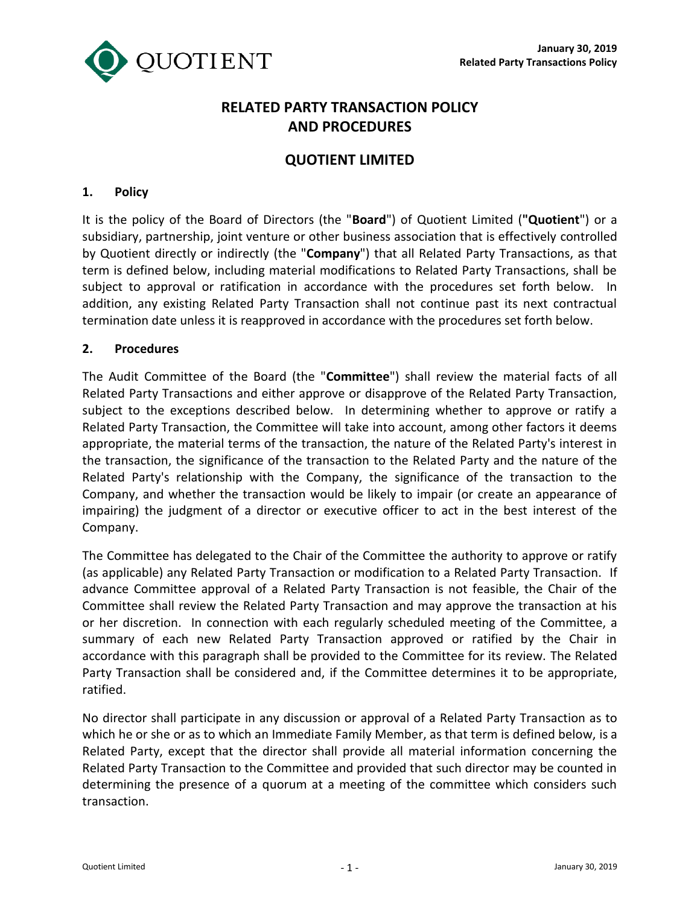

# **RELATED PARTY TRANSACTION POLICY AND PROCEDURES**

## **QUOTIENT LIMITED**

#### **1. Policy**

It is the policy of the Board of Directors (the "**Board**") of Quotient Limited (**"Quotient**") or a subsidiary, partnership, joint venture or other business association that is effectively controlled by Quotient directly or indirectly (the "**Company**") that all Related Party Transactions, as that term is defined below, including material modifications to Related Party Transactions, shall be subject to approval or ratification in accordance with the procedures set forth below. In addition, any existing Related Party Transaction shall not continue past its next contractual termination date unless it is reapproved in accordance with the procedures set forth below.

#### **2. Procedures**

The Audit Committee of the Board (the "**Committee**") shall review the material facts of all Related Party Transactions and either approve or disapprove of the Related Party Transaction, subject to the exceptions described below. In determining whether to approve or ratify a Related Party Transaction, the Committee will take into account, among other factors it deems appropriate, the material terms of the transaction, the nature of the Related Party's interest in the transaction, the significance of the transaction to the Related Party and the nature of the Related Party's relationship with the Company, the significance of the transaction to the Company, and whether the transaction would be likely to impair (or create an appearance of impairing) the judgment of a director or executive officer to act in the best interest of the Company.

The Committee has delegated to the Chair of the Committee the authority to approve or ratify (as applicable) any Related Party Transaction or modification to a Related Party Transaction. If advance Committee approval of a Related Party Transaction is not feasible, the Chair of the Committee shall review the Related Party Transaction and may approve the transaction at his or her discretion. In connection with each regularly scheduled meeting of the Committee, a summary of each new Related Party Transaction approved or ratified by the Chair in accordance with this paragraph shall be provided to the Committee for its review. The Related Party Transaction shall be considered and, if the Committee determines it to be appropriate, ratified.

No director shall participate in any discussion or approval of a Related Party Transaction as to which he or she or as to which an Immediate Family Member, as that term is defined below, is a Related Party, except that the director shall provide all material information concerning the Related Party Transaction to the Committee and provided that such director may be counted in determining the presence of a quorum at a meeting of the committee which considers such transaction.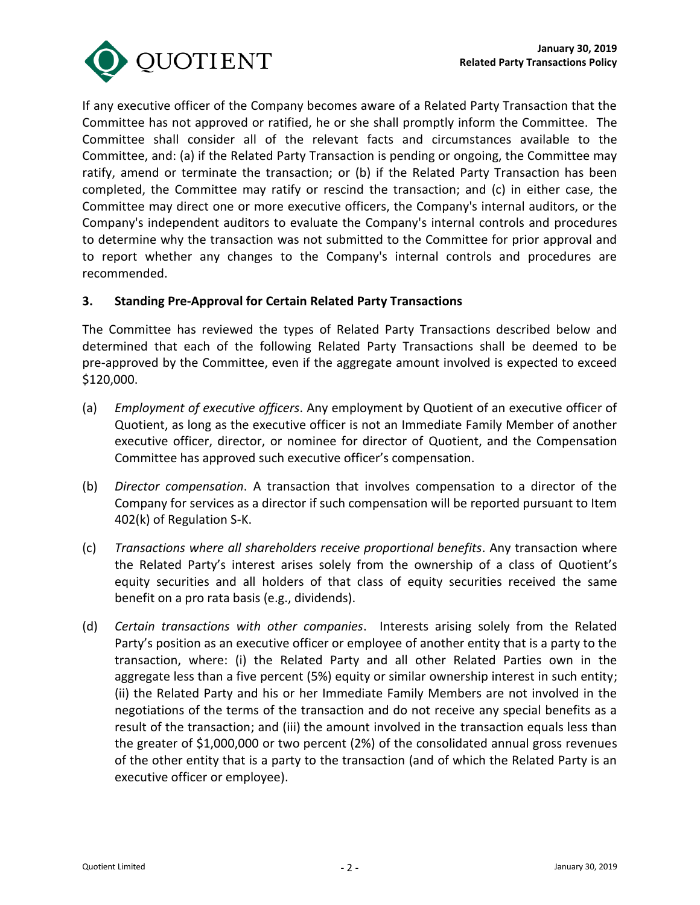

If any executive officer of the Company becomes aware of a Related Party Transaction that the Committee has not approved or ratified, he or she shall promptly inform the Committee. The Committee shall consider all of the relevant facts and circumstances available to the Committee, and: (a) if the Related Party Transaction is pending or ongoing, the Committee may ratify, amend or terminate the transaction; or (b) if the Related Party Transaction has been completed, the Committee may ratify or rescind the transaction; and (c) in either case, the Committee may direct one or more executive officers, the Company's internal auditors, or the Company's independent auditors to evaluate the Company's internal controls and procedures to determine why the transaction was not submitted to the Committee for prior approval and to report whether any changes to the Company's internal controls and procedures are recommended.

#### **3. Standing Pre-Approval for Certain Related Party Transactions**

The Committee has reviewed the types of Related Party Transactions described below and determined that each of the following Related Party Transactions shall be deemed to be pre-approved by the Committee, even if the aggregate amount involved is expected to exceed \$120,000.

- (a) *Employment of executive officers*. Any employment by Quotient of an executive officer of Quotient, as long as the executive officer is not an Immediate Family Member of another executive officer, director, or nominee for director of Quotient, and the Compensation Committee has approved such executive officer's compensation.
- (b) *Director compensation*. A transaction that involves compensation to a director of the Company for services as a director if such compensation will be reported pursuant to Item 402(k) of Regulation S-K.
- (c) *Transactions where all shareholders receive proportional benefits*. Any transaction where the Related Party's interest arises solely from the ownership of a class of Quotient's equity securities and all holders of that class of equity securities received the same benefit on a pro rata basis (e.g., dividends).
- (d) *Certain transactions with other companies*. Interests arising solely from the Related Party's position as an executive officer or employee of another entity that is a party to the transaction, where: (i) the Related Party and all other Related Parties own in the aggregate less than a five percent (5%) equity or similar ownership interest in such entity; (ii) the Related Party and his or her Immediate Family Members are not involved in the negotiations of the terms of the transaction and do not receive any special benefits as a result of the transaction; and (iii) the amount involved in the transaction equals less than the greater of \$1,000,000 or two percent (2%) of the consolidated annual gross revenues of the other entity that is a party to the transaction (and of which the Related Party is an executive officer or employee).